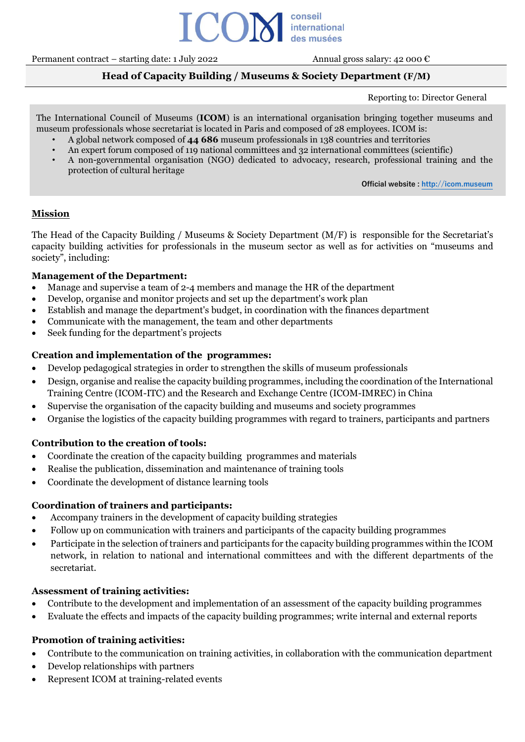

Permanent contract – starting date: 1 July 2022 Annual gross salary: 42 000  $\epsilon$ 

# **Head of Capacity Building / Museums & Society Department (F/M)**

Reporting to: Director General

The International Council of Museums (**ICOM**) is an international organisation bringing together museums and museum professionals whose secretariat is located in Paris and composed of 28 employees. ICOM is:

- A global network composed of **44 686** museum professionals in 138 countries and territories
- An expert forum composed of 119 national committees and 32 international committees (scientific)
- A non-governmental organisation (NGO) dedicated to advocacy, research, professional training and the protection of cultural heritage

**Official website : [http://icom.museum](http://icom.museum/)**

## **Mission**

The Head of the Capacity Building / Museums & Society Department (M/F) is responsible for the Secretariat's capacity building activities for professionals in the museum sector as well as for activities on "museums and society", including:

## **Management of the Department:**

- Manage and supervise a team of 2-4 members and manage the HR of the department
- Develop, organise and monitor projects and set up the department's work plan
- Establish and manage the department's budget, in coordination with the finances department
- Communicate with the management, the team and other departments
- Seek funding for the department's projects

## **Creation and implementation of the programmes:**

- Develop pedagogical strategies in order to strengthen the skills of museum professionals
- Design, organise and realise the capacity building programmes, including the coordination of the International Training Centre (ICOM-ITC) and the Research and Exchange Centre (ICOM-IMREC) in China
- Supervise the organisation of the capacity building and museums and society programmes
- Organise the logistics of the capacity building programmes with regard to trainers, participants and partners

# **Contribution to the creation of tools:**

- Coordinate the creation of the capacity building programmes and materials
- Realise the publication, dissemination and maintenance of training tools
- Coordinate the development of distance learning tools

## **Coordination of trainers and participants:**

- Accompany trainers in the development of capacity building strategies
- Follow up on communication with trainers and participants of the capacity building programmes
- Participate in the selection of trainers and participants for the capacity building programmes within the ICOM network, in relation to national and international committees and with the different departments of the secretariat.

## **Assessment of training activities:**

- Contribute to the development and implementation of an assessment of the capacity building programmes
- Evaluate the effects and impacts of the capacity building programmes; write internal and external reports

# **Promotion of training activities:**

- Contribute to the communication on training activities, in collaboration with the communication department
- Develop relationships with partners
- Represent ICOM at training-related events